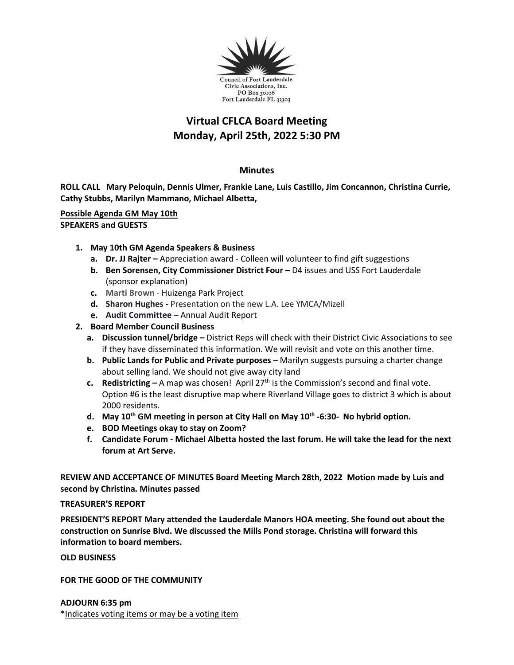

# **Virtual CFLCA Board Meeting Monday, April 25th, 2022 5:30 PM**

# **Minutes**

**ROLL CALL Mary Peloquin, Dennis Ulmer, Frankie Lane, Luis Castillo, Jim Concannon, Christina Currie, Cathy Stubbs, Marilyn Mammano, Michael Albetta,** 

## **Possible Agenda GM May 10th SPEAKERS and GUESTS**

- **1. May 10th GM Agenda Speakers & Business**
	- **a. Dr. JJ Rajter –** Appreciation award Colleen will volunteer to find gift suggestions
	- **b.** Ben Sorensen, City Commissioner District Four D4 issues and USS Fort Lauderdale (sponsor explanation)
	- **c. Marti Brown**  Huizenga Park Project
	- **d. Sharon Hughes -** Presentation on the new L.A. Lee YMCA/Mizell
	- **e. Audit Committee –** Annual Audit Report
- **2. Board Member Council Business** 
	- **a. Discussion tunnel/bridge –** District Reps will check with their District Civic Associations to see if they have disseminated this information. We will revisit and vote on this another time.
	- **b. Public Lands for Public and Private purposes** Marilyn suggests pursuing a charter change about selling land. We should not give away city land
	- **c. Redistricting –** A map was chosen! April 27th is the Commission's second and final vote. Option #6 is the least disruptive map where Riverland Village goes to district 3 which is about 2000 residents.
	- **d. May 10th GM meeting in person at City Hall on May 10th -6:30- No hybrid option.**
	- **e. BOD Meetings okay to stay on Zoom?**
	- **f. Candidate Forum - Michael Albetta hosted the last forum. He will take the lead for the next forum at Art Serve.**

**REVIEW AND ACCEPTANCE OF MINUTES Board Meeting March 28th, 2022 Motion made by Luis and second by Christina. Minutes passed**

### **TREASURER'S REPORT**

**PRESIDENT'S REPORT Mary attended the Lauderdale Manors HOA meeting. She found out about the construction on Sunrise Blvd. We discussed the Mills Pond storage. Christina will forward this information to board members.**

**OLD BUSINESS**

**FOR THE GOOD OF THE COMMUNITY**

**ADJOURN 6:35 pm** \*Indicates voting items or may be a voting item